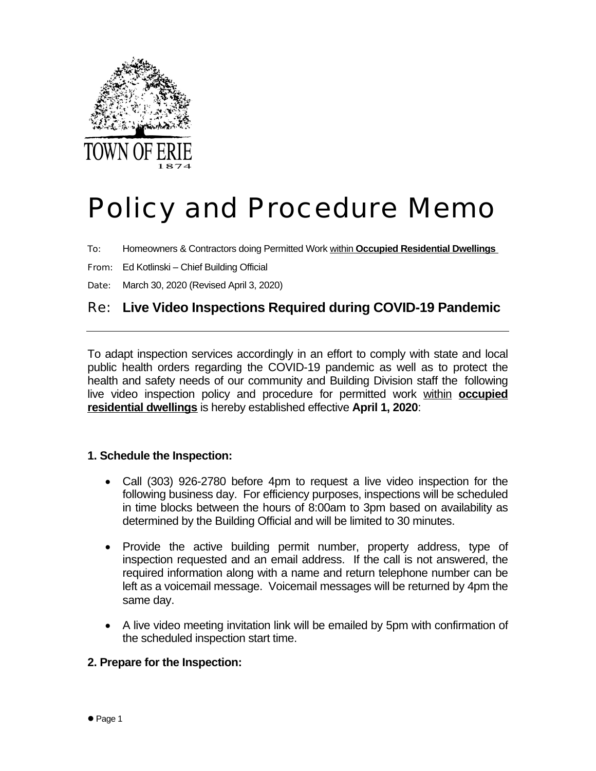

# Policy and Procedure Memo

To: Homeowners & Contractors doing Permitted Work within **Occupied Residential Dwellings**

From: Ed Kotlinski – Chief Building Official

Date: March 30, 2020 (Revised April 3, 2020)

# Re: **Live Video Inspections Required during COVID-19 Pandemic**

To adapt inspection services accordingly in an effort to comply with state and local public health orders regarding the COVID-19 pandemic as well as to protect the health and safety needs of our community and Building Division staff the following live video inspection policy and procedure for permitted work within **occupied residential dwellings** is hereby established effective **April 1, 2020**:

#### **1. Schedule the Inspection:**

- Call (303) 926-2780 before 4pm to request a live video inspection for the following business day. For efficiency purposes, inspections will be scheduled in time blocks between the hours of 8:00am to 3pm based on availability as determined by the Building Official and will be limited to 30 minutes.
- Provide the active building permit number, property address, type of inspection requested and an email address. If the call is not answered, the required information along with a name and return telephone number can be left as a voicemail message. Voicemail messages will be returned by 4pm the same day.
- A live video meeting invitation link will be emailed by 5pm with confirmation of the scheduled inspection start time.

### **2. Prepare for the Inspection:**